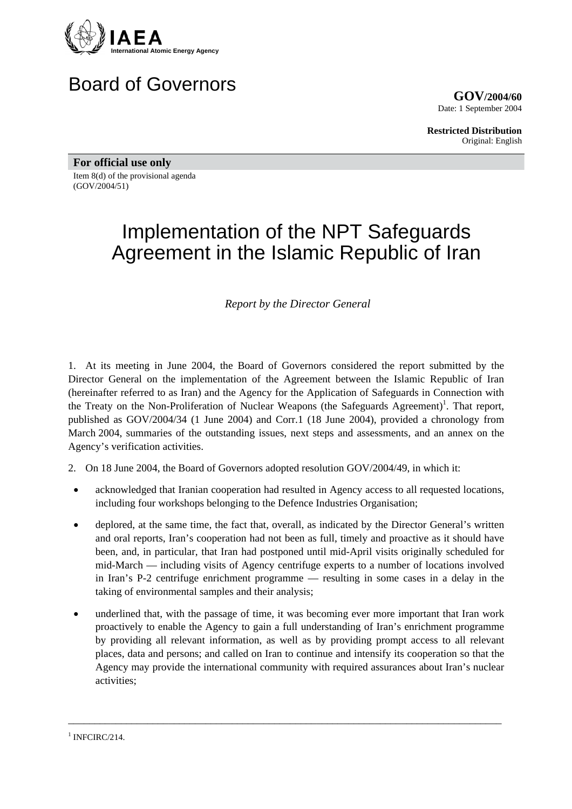

# Board of Governors

**GOV/2004/60** Date: 1 September 2004

**Restricted Distribution** Original: English

**For official use only**  Item 8(d) of the provisional agenda (GOV/2004/51)

# Implementation of the NPT Safeguards Agreement in the Islamic Republic of Iran

*Report by the Director General* 

1. At its meeting in June 2004, the Board of Governors considered the report submitted by the Director General on the implementation of the Agreement between the Islamic Republic of Iran (hereinafter referred to as Iran) and the Agency for the Application of Safeguards in Connection with the Treaty on the Non-Proliferation of Nuclear Weapons (the Safeguards Agreement)<sup>[1](#page-0-0)</sup>. That report, published as GOV/2004/34 (1 June 2004) and Corr.1 (18 June 2004), provided a chronology from March 2004, summaries of the outstanding issues, next steps and assessments, and an annex on the Agency's verification activities.

2. On 18 June 2004, the Board of Governors adopted resolution GOV/2004/49, in which it:

- acknowledged that Iranian cooperation had resulted in Agency access to all requested locations, including four workshops belonging to the Defence Industries Organisation;
- deplored, at the same time, the fact that, overall, as indicated by the Director General's written and oral reports, Iran's cooperation had not been as full, timely and proactive as it should have been, and, in particular, that Iran had postponed until mid-April visits originally scheduled for mid-March — including visits of Agency centrifuge experts to a number of locations involved in Iran's P-2 centrifuge enrichment programme — resulting in some cases in a delay in the taking of environmental samples and their analysis;
- underlined that, with the passage of time, it was becoming ever more important that Iran work proactively to enable the Agency to gain a full understanding of Iran's enrichment programme by providing all relevant information, as well as by providing prompt access to all relevant places, data and persons; and called on Iran to continue and intensify its cooperation so that the Agency may provide the international community with required assurances about Iran's nuclear activities;

\_\_\_\_\_\_\_\_\_\_\_\_\_\_\_\_\_\_\_\_\_\_\_\_\_\_\_\_\_\_\_\_\_\_\_\_\_\_\_\_\_\_\_\_\_\_\_\_\_\_\_\_\_\_\_\_\_\_\_\_\_\_\_\_\_\_\_\_\_\_\_\_\_\_\_\_\_\_\_\_\_\_

<span id="page-0-0"></span> $1$  INFCIRC/214.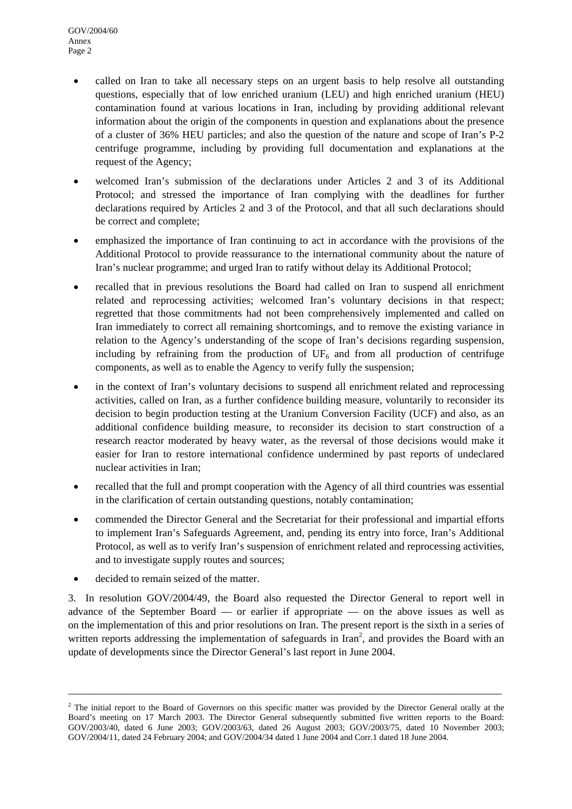- called on Iran to take all necessary steps on an urgent basis to help resolve all outstanding questions, especially that of low enriched uranium (LEU) and high enriched uranium (HEU) contamination found at various locations in Iran, including by providing additional relevant information about the origin of the components in question and explanations about the presence of a cluster of 36% HEU particles; and also the question of the nature and scope of Iran's P-2 centrifuge programme, including by providing full documentation and explanations at the request of the Agency;
- welcomed Iran's submission of the declarations under Articles 2 and 3 of its Additional Protocol; and stressed the importance of Iran complying with the deadlines for further declarations required by Articles 2 and 3 of the Protocol, and that all such declarations should be correct and complete;
- emphasized the importance of Iran continuing to act in accordance with the provisions of the Additional Protocol to provide reassurance to the international community about the nature of Iran's nuclear programme; and urged Iran to ratify without delay its Additional Protocol;
- recalled that in previous resolutions the Board had called on Iran to suspend all enrichment related and reprocessing activities; welcomed Iran's voluntary decisions in that respect; regretted that those commitments had not been comprehensively implemented and called on Iran immediately to correct all remaining shortcomings, and to remove the existing variance in relation to the Agency's understanding of the scope of Iran's decisions regarding suspension, including by refraining from the production of  $UF_6$  and from all production of centrifuge components, as well as to enable the Agency to verify fully the suspension;
- in the context of Iran's voluntary decisions to suspend all enrichment related and reprocessing activities, called on Iran, as a further confidence building measure, voluntarily to reconsider its decision to begin production testing at the Uranium Conversion Facility (UCF) and also, as an additional confidence building measure, to reconsider its decision to start construction of a research reactor moderated by heavy water, as the reversal of those decisions would make it easier for Iran to restore international confidence undermined by past reports of undeclared nuclear activities in Iran;
- recalled that the full and prompt cooperation with the Agency of all third countries was essential in the clarification of certain outstanding questions, notably contamination;
- commended the Director General and the Secretariat for their professional and impartial efforts to implement Iran's Safeguards Agreement, and, pending its entry into force, Iran's Additional Protocol, as well as to verify Iran's suspension of enrichment related and reprocessing activities, and to investigate supply routes and sources;
- decided to remain seized of the matter.

3. In resolution GOV/2004/49, the Board also requested the Director General to report well in advance of the September Board — or earlier if appropriate — on the above issues as well as on the implementation of this and prior resolutions on Iran. The present report is the sixth in a series of written reports addressing the implementation of safeguards in Iran<sup>[2](#page-1-0)</sup>, and provides the Board with an update of developments since the Director General's last report in June 2004.

\_\_\_\_\_\_\_\_\_\_\_\_\_\_\_\_\_\_\_\_\_\_\_\_\_\_\_\_\_\_\_\_\_\_\_\_\_\_\_\_\_\_\_\_\_\_\_\_\_\_\_\_\_\_\_\_\_\_\_\_\_\_\_\_\_\_\_\_\_\_\_\_\_\_\_\_\_\_\_\_\_\_

<span id="page-1-0"></span> $2$  The initial report to the Board of Governors on this specific matter was provided by the Director General orally at the Board's meeting on 17 March 2003. The Director General subsequently submitted five written reports to the Board: GOV/2003/40, dated 6 June 2003; GOV/2003/63, dated 26 August 2003; GOV/2003/75, dated 10 November 2003; GOV/2004/11, dated 24 February 2004; and GOV/2004/34 dated 1 June 2004 and Corr.1 dated 18 June 2004.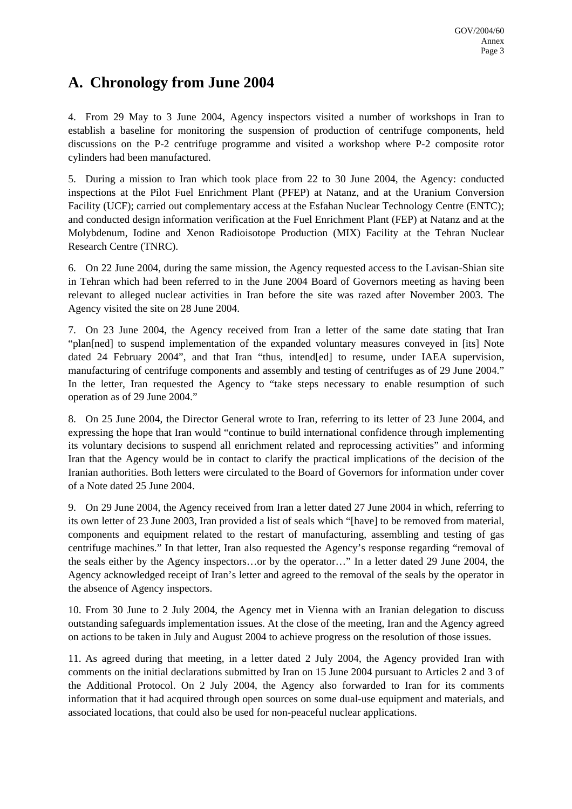# **A. Chronology from June 2004**

4. From 29 May to 3 June 2004, Agency inspectors visited a number of workshops in Iran to establish a baseline for monitoring the suspension of production of centrifuge components, held discussions on the P-2 centrifuge programme and visited a workshop where P-2 composite rotor cylinders had been manufactured.

5. During a mission to Iran which took place from 22 to 30 June 2004, the Agency: conducted inspections at the Pilot Fuel Enrichment Plant (PFEP) at Natanz, and at the Uranium Conversion Facility (UCF); carried out complementary access at the Esfahan Nuclear Technology Centre (ENTC); and conducted design information verification at the Fuel Enrichment Plant (FEP) at Natanz and at the Molybdenum, Iodine and Xenon Radioisotope Production (MIX) Facility at the Tehran Nuclear Research Centre (TNRC).

6. On 22 June 2004, during the same mission, the Agency requested access to the Lavisan-Shian site in Tehran which had been referred to in the June 2004 Board of Governors meeting as having been relevant to alleged nuclear activities in Iran before the site was razed after November 2003. The Agency visited the site on 28 June 2004.

7. On 23 June 2004, the Agency received from Iran a letter of the same date stating that Iran "plan[ned] to suspend implementation of the expanded voluntary measures conveyed in [its] Note dated 24 February 2004", and that Iran "thus, intend[ed] to resume, under IAEA supervision, manufacturing of centrifuge components and assembly and testing of centrifuges as of 29 June 2004." In the letter, Iran requested the Agency to "take steps necessary to enable resumption of such operation as of 29 June 2004."

8. On 25 June 2004, the Director General wrote to Iran, referring to its letter of 23 June 2004, and expressing the hope that Iran would "continue to build international confidence through implementing its voluntary decisions to suspend all enrichment related and reprocessing activities" and informing Iran that the Agency would be in contact to clarify the practical implications of the decision of the Iranian authorities. Both letters were circulated to the Board of Governors for information under cover of a Note dated 25 June 2004.

9. On 29 June 2004, the Agency received from Iran a letter dated 27 June 2004 in which, referring to its own letter of 23 June 2003, Iran provided a list of seals which "[have] to be removed from material, components and equipment related to the restart of manufacturing, assembling and testing of gas centrifuge machines." In that letter, Iran also requested the Agency's response regarding "removal of the seals either by the Agency inspectors…or by the operator…" In a letter dated 29 June 2004, the Agency acknowledged receipt of Iran's letter and agreed to the removal of the seals by the operator in the absence of Agency inspectors.

10. From 30 June to 2 July 2004, the Agency met in Vienna with an Iranian delegation to discuss outstanding safeguards implementation issues. At the close of the meeting, Iran and the Agency agreed on actions to be taken in July and August 2004 to achieve progress on the resolution of those issues.

11. As agreed during that meeting, in a letter dated 2 July 2004, the Agency provided Iran with comments on the initial declarations submitted by Iran on 15 June 2004 pursuant to Articles 2 and 3 of the Additional Protocol. On 2 July 2004, the Agency also forwarded to Iran for its comments information that it had acquired through open sources on some dual-use equipment and materials, and associated locations, that could also be used for non-peaceful nuclear applications.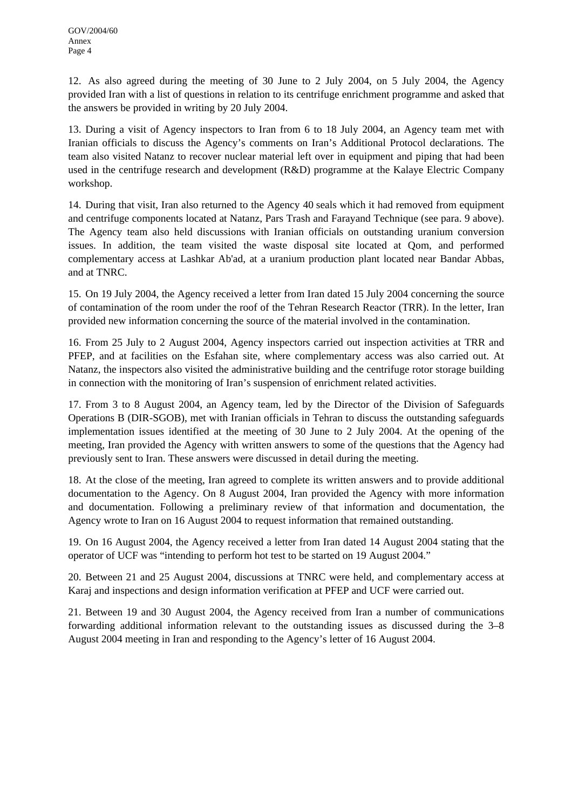12. As also agreed during the meeting of 30 June to 2 July 2004, on 5 July 2004, the Agency provided Iran with a list of questions in relation to its centrifuge enrichment programme and asked that the answers be provided in writing by 20 July 2004.

13. During a visit of Agency inspectors to Iran from 6 to 18 July 2004, an Agency team met with Iranian officials to discuss the Agency's comments on Iran's Additional Protocol declarations. The team also visited Natanz to recover nuclear material left over in equipment and piping that had been used in the centrifuge research and development (R&D) programme at the Kalaye Electric Company workshop.

14. During that visit, Iran also returned to the Agency 40 seals which it had removed from equipment and centrifuge components located at Natanz, Pars Trash and Farayand Technique (see para. 9 above). The Agency team also held discussions with Iranian officials on outstanding uranium conversion issues. In addition, the team visited the waste disposal site located at Qom, and performed complementary access at Lashkar Ab'ad, at a uranium production plant located near Bandar Abbas, and at TNRC.

15. On 19 July 2004, the Agency received a letter from Iran dated 15 July 2004 concerning the source of contamination of the room under the roof of the Tehran Research Reactor (TRR). In the letter, Iran provided new information concerning the source of the material involved in the contamination.

16. From 25 July to 2 August 2004, Agency inspectors carried out inspection activities at TRR and PFEP, and at facilities on the Esfahan site, where complementary access was also carried out. At Natanz, the inspectors also visited the administrative building and the centrifuge rotor storage building in connection with the monitoring of Iran's suspension of enrichment related activities.

17. From 3 to 8 August 2004, an Agency team, led by the Director of the Division of Safeguards Operations B (DIR-SGOB), met with Iranian officials in Tehran to discuss the outstanding safeguards implementation issues identified at the meeting of 30 June to 2 July 2004. At the opening of the meeting, Iran provided the Agency with written answers to some of the questions that the Agency had previously sent to Iran. These answers were discussed in detail during the meeting.

18. At the close of the meeting, Iran agreed to complete its written answers and to provide additional documentation to the Agency. On 8 August 2004, Iran provided the Agency with more information and documentation. Following a preliminary review of that information and documentation, the Agency wrote to Iran on 16 August 2004 to request information that remained outstanding.

19. On 16 August 2004, the Agency received a letter from Iran dated 14 August 2004 stating that the operator of UCF was "intending to perform hot test to be started on 19 August 2004."

20. Between 21 and 25 August 2004, discussions at TNRC were held, and complementary access at Karaj and inspections and design information verification at PFEP and UCF were carried out.

21. Between 19 and 30 August 2004, the Agency received from Iran a number of communications forwarding additional information relevant to the outstanding issues as discussed during the 3–8 August 2004 meeting in Iran and responding to the Agency's letter of 16 August 2004.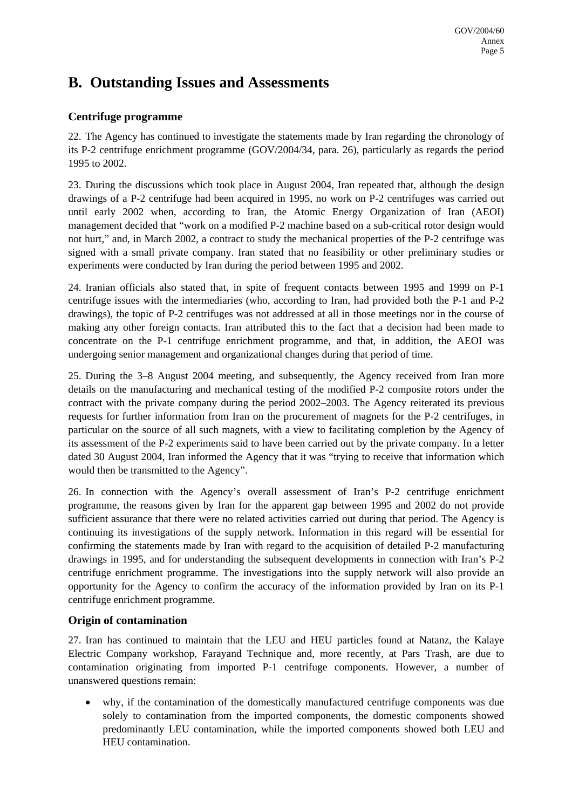# **B. Outstanding Issues and Assessments**

#### **Centrifuge programme**

22. The Agency has continued to investigate the statements made by Iran regarding the chronology of its P-2 centrifuge enrichment programme (GOV/2004/34, para. 26), particularly as regards the period 1995 to 2002.

23. During the discussions which took place in August 2004, Iran repeated that, although the design drawings of a P-2 centrifuge had been acquired in 1995, no work on P-2 centrifuges was carried out until early 2002 when, according to Iran, the Atomic Energy Organization of Iran (AEOI) management decided that "work on a modified P-2 machine based on a sub-critical rotor design would not hurt," and, in March 2002, a contract to study the mechanical properties of the P-2 centrifuge was signed with a small private company. Iran stated that no feasibility or other preliminary studies or experiments were conducted by Iran during the period between 1995 and 2002.

24. Iranian officials also stated that, in spite of frequent contacts between 1995 and 1999 on P-1 centrifuge issues with the intermediaries (who, according to Iran, had provided both the P-1 and P-2 drawings), the topic of P-2 centrifuges was not addressed at all in those meetings nor in the course of making any other foreign contacts. Iran attributed this to the fact that a decision had been made to concentrate on the P-1 centrifuge enrichment programme, and that, in addition, the AEOI was undergoing senior management and organizational changes during that period of time.

25. During the 3–8 August 2004 meeting, and subsequently, the Agency received from Iran more details on the manufacturing and mechanical testing of the modified P-2 composite rotors under the contract with the private company during the period 2002–2003. The Agency reiterated its previous requests for further information from Iran on the procurement of magnets for the P-2 centrifuges, in particular on the source of all such magnets, with a view to facilitating completion by the Agency of its assessment of the P-2 experiments said to have been carried out by the private company. In a letter dated 30 August 2004, Iran informed the Agency that it was "trying to receive that information which would then be transmitted to the Agency".

26. In connection with the Agency's overall assessment of Iran's P-2 centrifuge enrichment programme, the reasons given by Iran for the apparent gap between 1995 and 2002 do not provide sufficient assurance that there were no related activities carried out during that period. The Agency is continuing its investigations of the supply network. Information in this regard will be essential for confirming the statements made by Iran with regard to the acquisition of detailed P-2 manufacturing drawings in 1995, and for understanding the subsequent developments in connection with Iran's P-2 centrifuge enrichment programme. The investigations into the supply network will also provide an opportunity for the Agency to confirm the accuracy of the information provided by Iran on its P-1 centrifuge enrichment programme.

#### **Origin of contamination**

27. Iran has continued to maintain that the LEU and HEU particles found at Natanz, the Kalaye Electric Company workshop, Farayand Technique and, more recently, at Pars Trash, are due to contamination originating from imported P-1 centrifuge components. However, a number of unanswered questions remain:

• why, if the contamination of the domestically manufactured centrifuge components was due solely to contamination from the imported components, the domestic components showed predominantly LEU contamination, while the imported components showed both LEU and HEU contamination.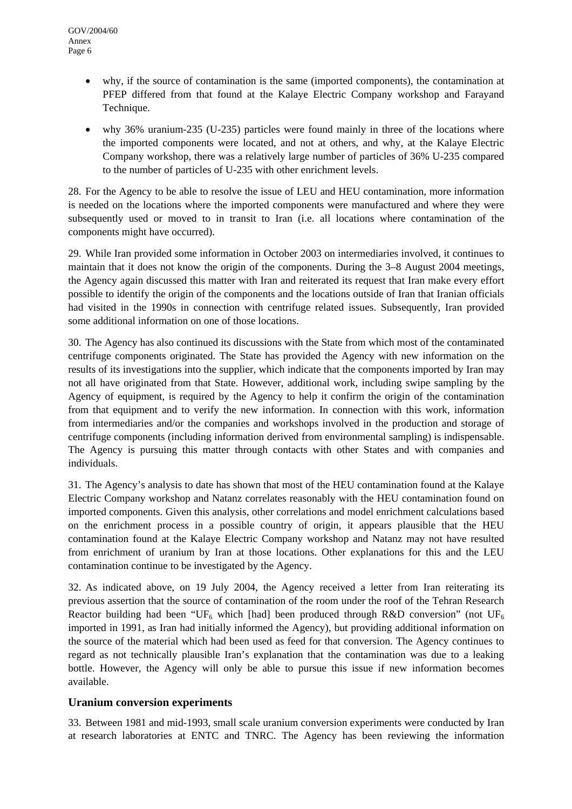- why, if the source of contamination is the same (imported components), the contamination at PFEP differed from that found at the Kalaye Electric Company workshop and Farayand Technique.
- why 36% uranium-235 (U-235) particles were found mainly in three of the locations where the imported components were located, and not at others, and why, at the Kalaye Electric Company workshop, there was a relatively large number of particles of 36% U-235 compared to the number of particles of U-235 with other enrichment levels.

28. For the Agency to be able to resolve the issue of LEU and HEU contamination, more information is needed on the locations where the imported components were manufactured and where they were subsequently used or moved to in transit to Iran (i.e. all locations where contamination of the components might have occurred).

29. While Iran provided some information in October 2003 on intermediaries involved, it continues to maintain that it does not know the origin of the components. During the 3–8 August 2004 meetings, the Agency again discussed this matter with Iran and reiterated its request that Iran make every effort possible to identify the origin of the components and the locations outside of Iran that Iranian officials had visited in the 1990s in connection with centrifuge related issues. Subsequently, Iran provided some additional information on one of those locations.

30. The Agency has also continued its discussions with the State from which most of the contaminated centrifuge components originated. The State has provided the Agency with new information on the results of its investigations into the supplier, which indicate that the components imported by Iran may not all have originated from that State. However, additional work, including swipe sampling by the Agency of equipment, is required by the Agency to help it confirm the origin of the contamination from that equipment and to verify the new information. In connection with this work, information from intermediaries and/or the companies and workshops involved in the production and storage of centrifuge components (including information derived from environmental sampling) is indispensable. The Agency is pursuing this matter through contacts with other States and with companies and individuals.

31. The Agency's analysis to date has shown that most of the HEU contamination found at the Kalaye Electric Company workshop and Natanz correlates reasonably with the HEU contamination found on imported components. Given this analysis, other correlations and model enrichment calculations based on the enrichment process in a possible country of origin, it appears plausible that the HEU contamination found at the Kalaye Electric Company workshop and Natanz may not have resulted from enrichment of uranium by Iran at those locations. Other explanations for this and the LEU contamination continue to be investigated by the Agency.

32. As indicated above, on 19 July 2004, the Agency received a letter from Iran reiterating its previous assertion that the source of contamination of the room under the roof of the Tehran Research Reactor building had been "UF<sub>6</sub> which [had] been produced through R&D conversion" (not UF<sub>6</sub> imported in 1991, as Iran had initially informed the Agency), but providing additional information on the source of the material which had been used as feed for that conversion. The Agency continues to regard as not technically plausible Iran's explanation that the contamination was due to a leaking bottle. However, the Agency will only be able to pursue this issue if new information becomes available.

#### **Uranium conversion experiments**

33. Between 1981 and mid-1993, small scale uranium conversion experiments were conducted by Iran at research laboratories at ENTC and TNRC. The Agency has been reviewing the information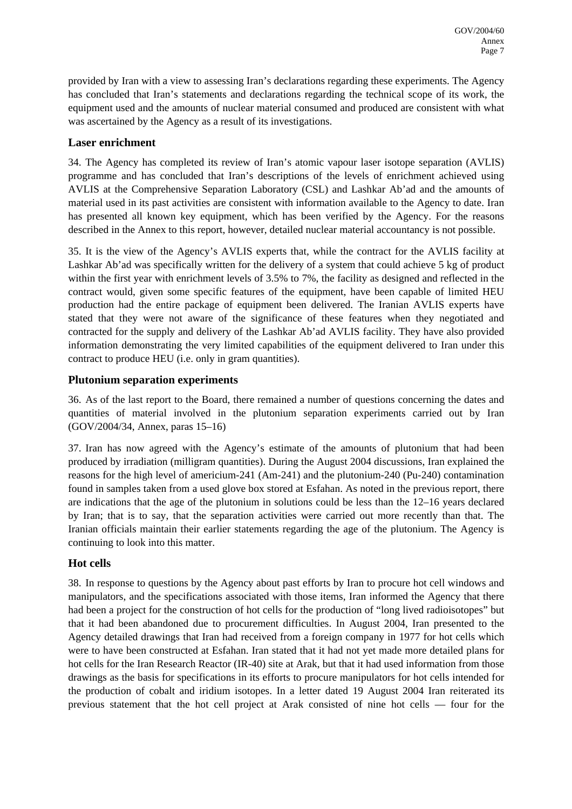provided by Iran with a view to assessing Iran's declarations regarding these experiments. The Agency has concluded that Iran's statements and declarations regarding the technical scope of its work, the equipment used and the amounts of nuclear material consumed and produced are consistent with what was ascertained by the Agency as a result of its investigations.

### **Laser enrichment**

34. The Agency has completed its review of Iran's atomic vapour laser isotope separation (AVLIS) programme and has concluded that Iran's descriptions of the levels of enrichment achieved using AVLIS at the Comprehensive Separation Laboratory (CSL) and Lashkar Ab'ad and the amounts of material used in its past activities are consistent with information available to the Agency to date. Iran has presented all known key equipment, which has been verified by the Agency. For the reasons described in the Annex to this report, however, detailed nuclear material accountancy is not possible.

35. It is the view of the Agency's AVLIS experts that, while the contract for the AVLIS facility at Lashkar Ab'ad was specifically written for the delivery of a system that could achieve 5 kg of product within the first year with enrichment levels of 3.5% to 7%, the facility as designed and reflected in the contract would, given some specific features of the equipment, have been capable of limited HEU production had the entire package of equipment been delivered. The Iranian AVLIS experts have stated that they were not aware of the significance of these features when they negotiated and contracted for the supply and delivery of the Lashkar Ab'ad AVLIS facility. They have also provided information demonstrating the very limited capabilities of the equipment delivered to Iran under this contract to produce HEU (i.e. only in gram quantities).

#### **Plutonium separation experiments**

36. As of the last report to the Board, there remained a number of questions concerning the dates and quantities of material involved in the plutonium separation experiments carried out by Iran (GOV/2004/34, Annex, paras 15–16)

37. Iran has now agreed with the Agency's estimate of the amounts of plutonium that had been produced by irradiation (milligram quantities). During the August 2004 discussions, Iran explained the reasons for the high level of americium-241 (Am-241) and the plutonium-240 (Pu-240) contamination found in samples taken from a used glove box stored at Esfahan. As noted in the previous report, there are indications that the age of the plutonium in solutions could be less than the 12–16 years declared by Iran; that is to say, that the separation activities were carried out more recently than that. The Iranian officials maintain their earlier statements regarding the age of the plutonium. The Agency is continuing to look into this matter.

#### **Hot cells**

38. In response to questions by the Agency about past efforts by Iran to procure hot cell windows and manipulators, and the specifications associated with those items, Iran informed the Agency that there had been a project for the construction of hot cells for the production of "long lived radioisotopes" but that it had been abandoned due to procurement difficulties. In August 2004, Iran presented to the Agency detailed drawings that Iran had received from a foreign company in 1977 for hot cells which were to have been constructed at Esfahan. Iran stated that it had not yet made more detailed plans for hot cells for the Iran Research Reactor (IR-40) site at Arak, but that it had used information from those drawings as the basis for specifications in its efforts to procure manipulators for hot cells intended for the production of cobalt and iridium isotopes. In a letter dated 19 August 2004 Iran reiterated its previous statement that the hot cell project at Arak consisted of nine hot cells — four for the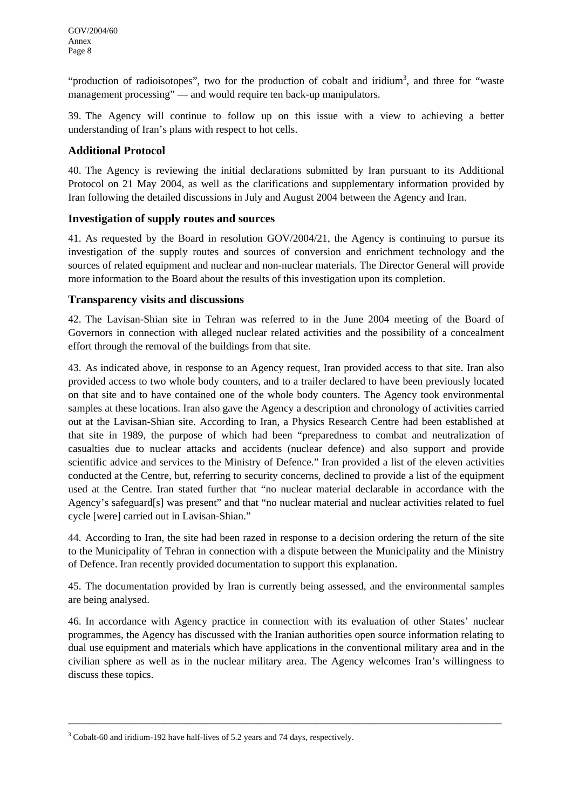"production of radioisotopes", two for the production of cobalt and iridium<sup>[3](#page-7-0)</sup>, and three for "waste management processing" — and would require ten back-up manipulators.

39. The Agency will continue to follow up on this issue with a view to achieving a better understanding of Iran's plans with respect to hot cells.

#### **Additional Protocol**

40. The Agency is reviewing the initial declarations submitted by Iran pursuant to its Additional Protocol on 21 May 2004, as well as the clarifications and supplementary information provided by Iran following the detailed discussions in July and August 2004 between the Agency and Iran.

#### **Investigation of supply routes and sources**

41. As requested by the Board in resolution GOV/2004/21, the Agency is continuing to pursue its investigation of the supply routes and sources of conversion and enrichment technology and the sources of related equipment and nuclear and non-nuclear materials. The Director General will provide more information to the Board about the results of this investigation upon its completion.

#### **Transparency visits and discussions**

42. The Lavisan-Shian site in Tehran was referred to in the June 2004 meeting of the Board of Governors in connection with alleged nuclear related activities and the possibility of a concealment effort through the removal of the buildings from that site.

43. As indicated above, in response to an Agency request, Iran provided access to that site. Iran also provided access to two whole body counters, and to a trailer declared to have been previously located on that site and to have contained one of the whole body counters. The Agency took environmental samples at these locations. Iran also gave the Agency a description and chronology of activities carried out at the Lavisan-Shian site. According to Iran, a Physics Research Centre had been established at that site in 1989, the purpose of which had been "preparedness to combat and neutralization of casualties due to nuclear attacks and accidents (nuclear defence) and also support and provide scientific advice and services to the Ministry of Defence." Iran provided a list of the eleven activities conducted at the Centre, but, referring to security concerns, declined to provide a list of the equipment used at the Centre. Iran stated further that "no nuclear material declarable in accordance with the Agency's safeguard[s] was present" and that "no nuclear material and nuclear activities related to fuel cycle [were] carried out in Lavisan-Shian."

44. According to Iran, the site had been razed in response to a decision ordering the return of the site to the Municipality of Tehran in connection with a dispute between the Municipality and the Ministry of Defence. Iran recently provided documentation to support this explanation.

45. The documentation provided by Iran is currently being assessed, and the environmental samples are being analysed.

46. In accordance with Agency practice in connection with its evaluation of other States' nuclear programmes, the Agency has discussed with the Iranian authorities open source information relating to dual use equipment and materials which have applications in the conventional military area and in the civilian sphere as well as in the nuclear military area. The Agency welcomes Iran's willingness to discuss these topics.

\_\_\_\_\_\_\_\_\_\_\_\_\_\_\_\_\_\_\_\_\_\_\_\_\_\_\_\_\_\_\_\_\_\_\_\_\_\_\_\_\_\_\_\_\_\_\_\_\_\_\_\_\_\_\_\_\_\_\_\_\_\_\_\_\_\_\_\_\_\_\_\_\_\_\_\_\_\_\_\_\_\_

<span id="page-7-0"></span> $3^3$  Cobalt-60 and iridium-192 have half-lives of 5.2 years and 74 days, respectively.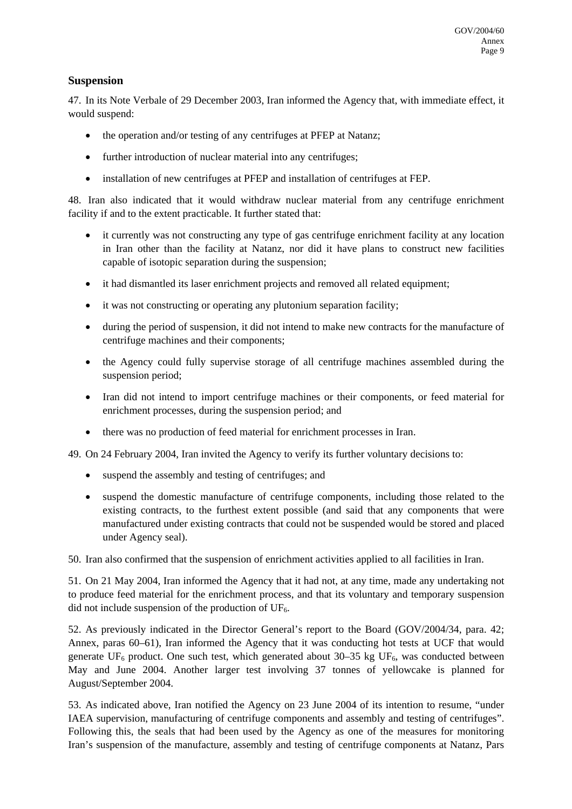#### **Suspension**

47. In its Note Verbale of 29 December 2003, Iran informed the Agency that, with immediate effect, it would suspend:

- the operation and/or testing of any centrifuges at PFEP at Natanz;
- further introduction of nuclear material into any centrifuges:
- installation of new centrifuges at PFEP and installation of centrifuges at FEP.

48. Iran also indicated that it would withdraw nuclear material from any centrifuge enrichment facility if and to the extent practicable. It further stated that:

- it currently was not constructing any type of gas centrifuge enrichment facility at any location in Iran other than the facility at Natanz, nor did it have plans to construct new facilities capable of isotopic separation during the suspension;
- it had dismantled its laser enrichment projects and removed all related equipment;
- it was not constructing or operating any plutonium separation facility;
- during the period of suspension, it did not intend to make new contracts for the manufacture of centrifuge machines and their components;
- the Agency could fully supervise storage of all centrifuge machines assembled during the suspension period;
- Iran did not intend to import centrifuge machines or their components, or feed material for enrichment processes, during the suspension period; and
- there was no production of feed material for enrichment processes in Iran.

49. On 24 February 2004, Iran invited the Agency to verify its further voluntary decisions to:

- suspend the assembly and testing of centrifuges; and
- suspend the domestic manufacture of centrifuge components, including those related to the existing contracts, to the furthest extent possible (and said that any components that were manufactured under existing contracts that could not be suspended would be stored and placed under Agency seal).

50. Iran also confirmed that the suspension of enrichment activities applied to all facilities in Iran.

51. On 21 May 2004, Iran informed the Agency that it had not, at any time, made any undertaking not to produce feed material for the enrichment process, and that its voluntary and temporary suspension did not include suspension of the production of  $UF<sub>6</sub>$ .

52. As previously indicated in the Director General's report to the Board (GOV/2004/34, para. 42; Annex, paras 60–61), Iran informed the Agency that it was conducting hot tests at UCF that would generate  $UF_6$  product. One such test, which generated about 30–35 kg  $UF_6$ , was conducted between May and June 2004. Another larger test involving 37 tonnes of yellowcake is planned for August/September 2004.

53. As indicated above, Iran notified the Agency on 23 June 2004 of its intention to resume, "under IAEA supervision, manufacturing of centrifuge components and assembly and testing of centrifuges". Following this, the seals that had been used by the Agency as one of the measures for monitoring Iran's suspension of the manufacture, assembly and testing of centrifuge components at Natanz, Pars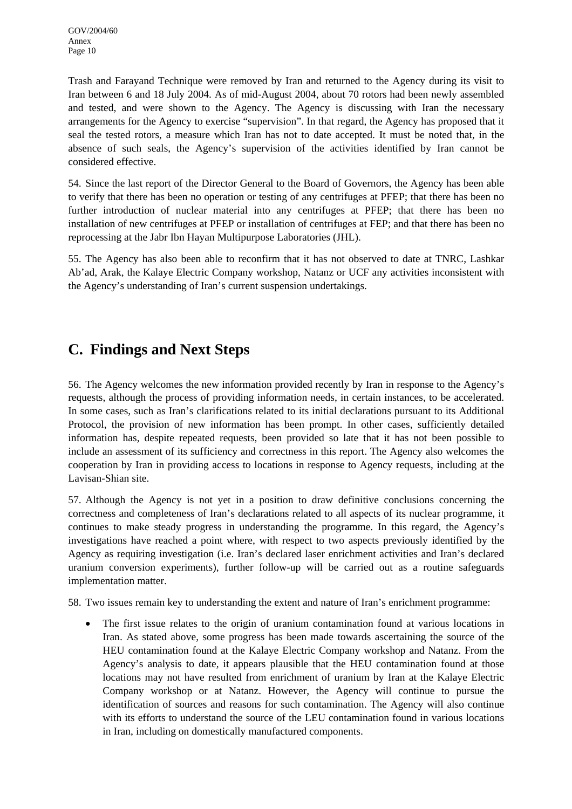Trash and Farayand Technique were removed by Iran and returned to the Agency during its visit to Iran between 6 and 18 July 2004. As of mid-August 2004, about 70 rotors had been newly assembled and tested, and were shown to the Agency. The Agency is discussing with Iran the necessary arrangements for the Agency to exercise "supervision". In that regard, the Agency has proposed that it seal the tested rotors, a measure which Iran has not to date accepted. It must be noted that, in the absence of such seals, the Agency's supervision of the activities identified by Iran cannot be considered effective.

54. Since the last report of the Director General to the Board of Governors, the Agency has been able to verify that there has been no operation or testing of any centrifuges at PFEP; that there has been no further introduction of nuclear material into any centrifuges at PFEP; that there has been no installation of new centrifuges at PFEP or installation of centrifuges at FEP; and that there has been no reprocessing at the Jabr Ibn Hayan Multipurpose Laboratories (JHL).

55. The Agency has also been able to reconfirm that it has not observed to date at TNRC, Lashkar Ab'ad, Arak, the Kalaye Electric Company workshop, Natanz or UCF any activities inconsistent with the Agency's understanding of Iran's current suspension undertakings.

# **C. Findings and Next Steps**

56. The Agency welcomes the new information provided recently by Iran in response to the Agency's requests, although the process of providing information needs, in certain instances, to be accelerated. In some cases, such as Iran's clarifications related to its initial declarations pursuant to its Additional Protocol, the provision of new information has been prompt. In other cases, sufficiently detailed information has, despite repeated requests, been provided so late that it has not been possible to include an assessment of its sufficiency and correctness in this report. The Agency also welcomes the cooperation by Iran in providing access to locations in response to Agency requests, including at the Lavisan-Shian site.

57. Although the Agency is not yet in a position to draw definitive conclusions concerning the correctness and completeness of Iran's declarations related to all aspects of its nuclear programme, it continues to make steady progress in understanding the programme. In this regard, the Agency's investigations have reached a point where, with respect to two aspects previously identified by the Agency as requiring investigation (i.e. Iran's declared laser enrichment activities and Iran's declared uranium conversion experiments), further follow-up will be carried out as a routine safeguards implementation matter.

58. Two issues remain key to understanding the extent and nature of Iran's enrichment programme:

• The first issue relates to the origin of uranium contamination found at various locations in Iran. As stated above, some progress has been made towards ascertaining the source of the HEU contamination found at the Kalaye Electric Company workshop and Natanz. From the Agency's analysis to date, it appears plausible that the HEU contamination found at those locations may not have resulted from enrichment of uranium by Iran at the Kalaye Electric Company workshop or at Natanz. However, the Agency will continue to pursue the identification of sources and reasons for such contamination. The Agency will also continue with its efforts to understand the source of the LEU contamination found in various locations in Iran, including on domestically manufactured components.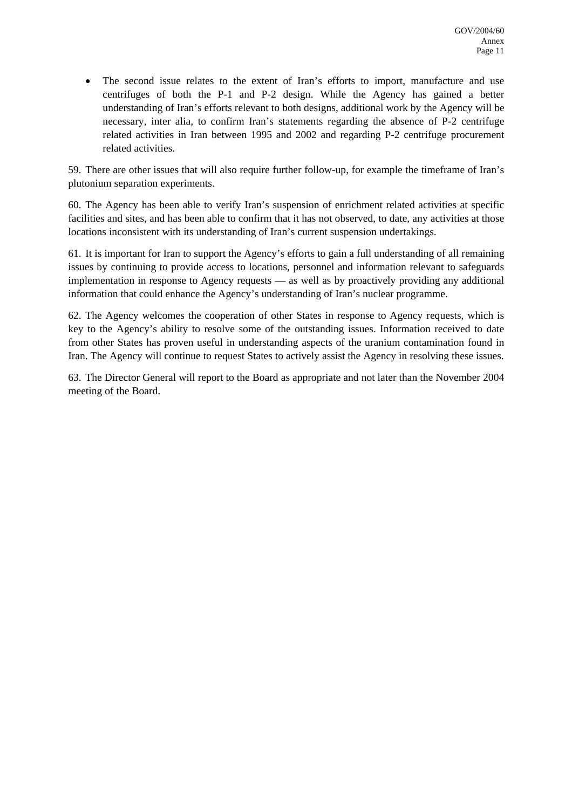• The second issue relates to the extent of Iran's efforts to import, manufacture and use centrifuges of both the P-1 and P-2 design. While the Agency has gained a better understanding of Iran's efforts relevant to both designs, additional work by the Agency will be necessary, inter alia, to confirm Iran's statements regarding the absence of P-2 centrifuge related activities in Iran between 1995 and 2002 and regarding P-2 centrifuge procurement related activities.

59. There are other issues that will also require further follow-up, for example the timeframe of Iran's plutonium separation experiments.

60. The Agency has been able to verify Iran's suspension of enrichment related activities at specific facilities and sites, and has been able to confirm that it has not observed, to date, any activities at those locations inconsistent with its understanding of Iran's current suspension undertakings.

61. It is important for Iran to support the Agency's efforts to gain a full understanding of all remaining issues by continuing to provide access to locations, personnel and information relevant to safeguards implementation in response to Agency requests — as well as by proactively providing any additional information that could enhance the Agency's understanding of Iran's nuclear programme.

62. The Agency welcomes the cooperation of other States in response to Agency requests, which is key to the Agency's ability to resolve some of the outstanding issues. Information received to date from other States has proven useful in understanding aspects of the uranium contamination found in Iran. The Agency will continue to request States to actively assist the Agency in resolving these issues.

63. The Director General will report to the Board as appropriate and not later than the November 2004 meeting of the Board.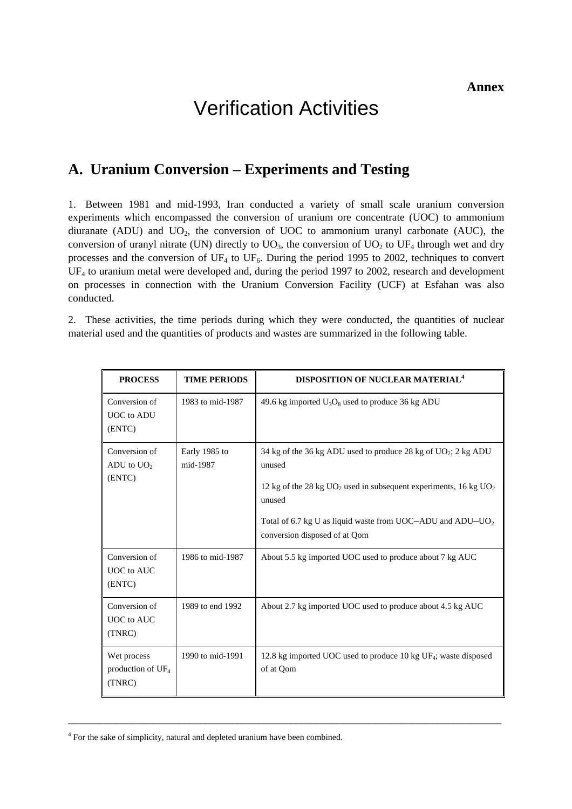# Verification Activities

## **A. Uranium Conversion – Experiments and Testing**

1. Between 1981 and mid-1993, Iran conducted a variety of small scale uranium conversion experiments which encompassed the conversion of uranium ore concentrate (UOC) to ammonium diuranate (ADU) and  $UO<sub>2</sub>$ , the conversion of UOC to ammonium uranyl carbonate (AUC), the conversion of uranyl nitrate (UN) directly to  $UO_3$ , the conversion of  $UO_2$  to  $UF_4$  through wet and dry processes and the conversion of  $UF_4$  to  $UF_6$ . During the period 1995 to 2002, techniques to convert UF<sub>4</sub> to uranium metal were developed and, during the period 1997 to 2002, research and development on processes in connection with the Uranium Conversion Facility (UCF) at Esfahan was also conducted.

2. These activities, the time periods during which they were conducted, the quantities of nuclear material used and the quantities of products and wastes are summarized in the following table.

| <b>PROCESS</b>                                | <b>TIME PERIODS</b>       | <b>DISPOSITION OF NUCLEAR MATERIAL<sup>4</sup></b>                                                                                                                                                                                                                     |
|-----------------------------------------------|---------------------------|------------------------------------------------------------------------------------------------------------------------------------------------------------------------------------------------------------------------------------------------------------------------|
| Conversion of<br><b>UOC</b> to ADU<br>(ENTC)  | 1983 to mid-1987          | 49.6 kg imported $U_3O_8$ used to produce 36 kg ADU                                                                                                                                                                                                                    |
| Conversion of<br>ADU to $UO2$<br>(ENTC)       | Early 1985 to<br>mid-1987 | 34 kg of the 36 kg ADU used to produce 28 kg of UO2; 2 kg ADU<br>unused<br>12 kg of the 28 kg $UO_2$ used in subsequent experiments, 16 kg $UO_2$<br>unused<br>Total of 6.7 kg U as liquid waste from UOC-ADU and ADU-UO <sub>2</sub><br>conversion disposed of at Qom |
| Conversion of<br>UOC to AUC<br>(ENTC)         | 1986 to mid-1987          | About 5.5 kg imported UOC used to produce about 7 kg AUC                                                                                                                                                                                                               |
| Conversion of<br>UOC to AUC<br>(TNRC)         | 1989 to end 1992          | About 2.7 kg imported UOC used to produce about 4.5 kg AUC                                                                                                                                                                                                             |
| Wet process<br>production of $UF_4$<br>(TNRC) | 1990 to mid-1991          | 12.8 kg imported UOC used to produce 10 kg UF <sub>4</sub> ; waste disposed<br>of at Qom                                                                                                                                                                               |

\_\_\_\_\_\_\_\_\_\_\_\_\_\_\_\_\_\_\_\_\_\_\_\_\_\_\_\_\_\_\_\_\_\_\_\_\_\_\_\_\_\_\_\_\_\_\_\_\_\_\_\_\_\_\_\_\_\_\_\_\_\_\_\_\_\_\_\_\_\_\_\_\_\_\_\_\_\_\_\_\_\_

<span id="page-12-0"></span><sup>&</sup>lt;sup>4</sup> For the sake of simplicity, natural and depleted uranium have been combined.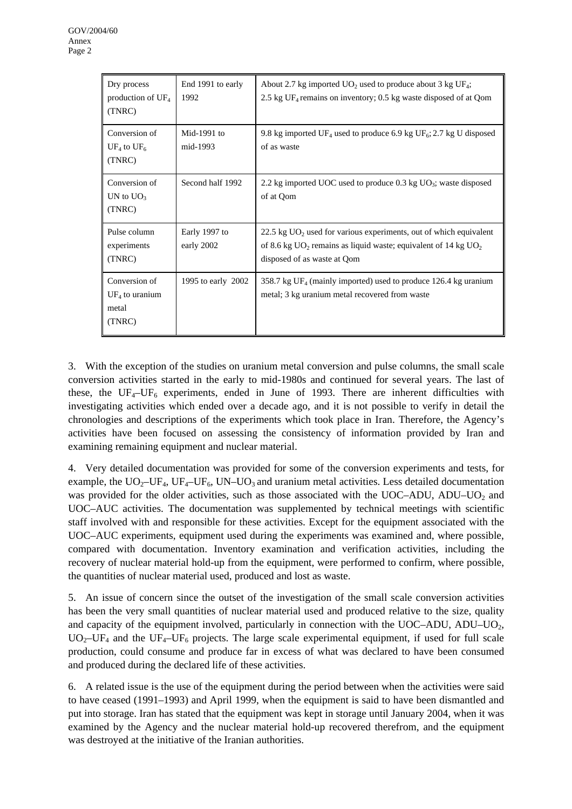| Dry process<br>production of $UF_4$<br>(TNRC)                 | End 1991 to early<br>1992   | About 2.7 kg imported $UO_2$ used to produce about 3 kg UF <sub>4</sub> ;<br>2.5 kg $UF_4$ remains on inventory; 0.5 kg waste disposed of at Qom                                             |
|---------------------------------------------------------------|-----------------------------|----------------------------------------------------------------------------------------------------------------------------------------------------------------------------------------------|
| Conversion of<br>UF <sub>4</sub> to UF <sub>6</sub><br>(TNRC) | Mid-1991 to<br>mid-1993     | 9.8 kg imported UF <sub>4</sub> used to produce 6.9 kg UF <sub>6</sub> ; 2.7 kg U disposed<br>of as waste                                                                                    |
| Conversion of<br>UN to $UO_3$<br>(TNRC)                       | Second half 1992            | 2.2 kg imported UOC used to produce 0.3 kg $UO_3$ ; waste disposed<br>of at Qom                                                                                                              |
| Pulse column<br>experiments<br>(TNRC)                         | Early 1997 to<br>early 2002 | 22.5 kg $UO2$ used for various experiments, out of which equivalent<br>of 8.6 kg UO <sub>2</sub> remains as liquid waste; equivalent of 14 kg UO <sub>2</sub><br>disposed of as waste at Qom |
| Conversion of<br>$UF_4$ to uranium<br>metal<br>(TNRC)         | 1995 to early 2002          | 358.7 kg UF <sub>4</sub> (mainly imported) used to produce 126.4 kg uranium<br>metal; 3 kg uranium metal recovered from waste                                                                |

3. With the exception of the studies on uranium metal conversion and pulse columns, the small scale conversion activities started in the early to mid-1980s and continued for several years. The last of these, the  $UF_4-UF_6$  experiments, ended in June of 1993. There are inherent difficulties with investigating activities which ended over a decade ago, and it is not possible to verify in detail the chronologies and descriptions of the experiments which took place in Iran. Therefore, the Agency's activities have been focused on assessing the consistency of information provided by Iran and examining remaining equipment and nuclear material.

4. Very detailed documentation was provided for some of the conversion experiments and tests, for example, the  $UO_2-UF_4$ ,  $UF_4-UF_6$ ,  $UN-UO_3$  and uranium metal activities. Less detailed documentation was provided for the older activities, such as those associated with the UOC–ADU, ADU–UO<sub>2</sub> and UOC–AUC activities. The documentation was supplemented by technical meetings with scientific staff involved with and responsible for these activities. Except for the equipment associated with the UOC–AUC experiments, equipment used during the experiments was examined and, where possible, compared with documentation. Inventory examination and verification activities, including the recovery of nuclear material hold-up from the equipment, were performed to confirm, where possible, the quantities of nuclear material used, produced and lost as waste.

5. An issue of concern since the outset of the investigation of the small scale conversion activities has been the very small quantities of nuclear material used and produced relative to the size, quality and capacity of the equipment involved, particularly in connection with the  $UOC-ADU$ ,  $ADU-UO<sub>2</sub>$ ,  $UO<sub>2</sub>–UF<sub>4</sub>$  and the UF<sub>4</sub>–UF<sub>6</sub> projects. The large scale experimental equipment, if used for full scale production, could consume and produce far in excess of what was declared to have been consumed and produced during the declared life of these activities.

6. A related issue is the use of the equipment during the period between when the activities were said to have ceased (1991–1993) and April 1999, when the equipment is said to have been dismantled and put into storage. Iran has stated that the equipment was kept in storage until January 2004, when it was examined by the Agency and the nuclear material hold-up recovered therefrom, and the equipment was destroyed at the initiative of the Iranian authorities.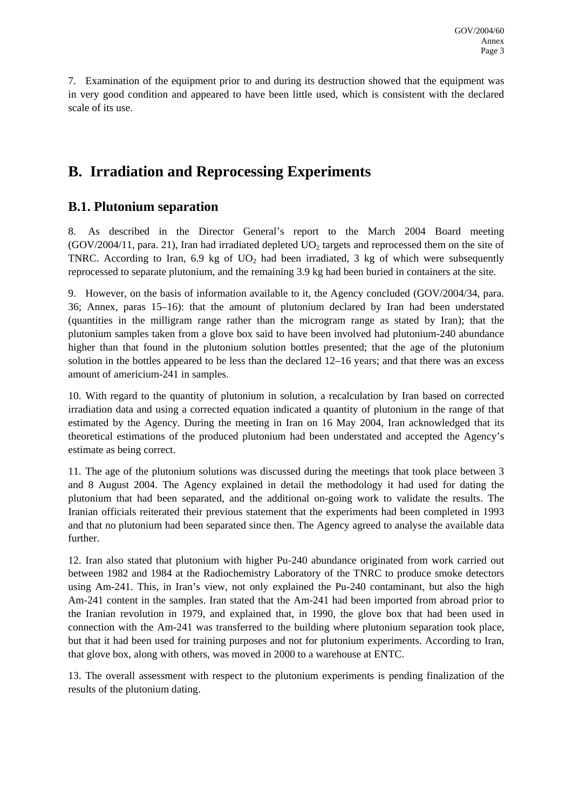7. Examination of the equipment prior to and during its destruction showed that the equipment was in very good condition and appeared to have been little used, which is consistent with the declared scale of its use.

# **B. Irradiation and Reprocessing Experiments**

## **B.1. Plutonium separation**

8. As described in the Director General's report to the March 2004 Board meeting  $(GOV/2004/11,$  para. 21), Iran had irradiated depleted  $UO<sub>2</sub>$  targets and reprocessed them on the site of TNRC. According to Iran, 6.9 kg of  $UO<sub>2</sub>$  had been irradiated, 3 kg of which were subsequently reprocessed to separate plutonium, and the remaining 3.9 kg had been buried in containers at the site.

9. However, on the basis of information available to it, the Agency concluded (GOV/2004/34, para. 36; Annex, paras 15–16): that the amount of plutonium declared by Iran had been understated (quantities in the milligram range rather than the microgram range as stated by Iran); that the plutonium samples taken from a glove box said to have been involved had plutonium-240 abundance higher than that found in the plutonium solution bottles presented; that the age of the plutonium solution in the bottles appeared to be less than the declared 12–16 years; and that there was an excess amount of americium-241 in samples.

10. With regard to the quantity of plutonium in solution, a recalculation by Iran based on corrected irradiation data and using a corrected equation indicated a quantity of plutonium in the range of that estimated by the Agency. During the meeting in Iran on 16 May 2004, Iran acknowledged that its theoretical estimations of the produced plutonium had been understated and accepted the Agency's estimate as being correct.

11. The age of the plutonium solutions was discussed during the meetings that took place between 3 and 8 August 2004. The Agency explained in detail the methodology it had used for dating the plutonium that had been separated, and the additional on-going work to validate the results. The Iranian officials reiterated their previous statement that the experiments had been completed in 1993 and that no plutonium had been separated since then. The Agency agreed to analyse the available data further.

12. Iran also stated that plutonium with higher Pu-240 abundance originated from work carried out between 1982 and 1984 at the Radiochemistry Laboratory of the TNRC to produce smoke detectors using Am-241. This, in Iran's view, not only explained the Pu-240 contaminant, but also the high Am-241 content in the samples. Iran stated that the Am-241 had been imported from abroad prior to the Iranian revolution in 1979, and explained that, in 1990, the glove box that had been used in connection with the Am-241 was transferred to the building where plutonium separation took place, but that it had been used for training purposes and not for plutonium experiments. According to Iran, that glove box, along with others, was moved in 2000 to a warehouse at ENTC.

13. The overall assessment with respect to the plutonium experiments is pending finalization of the results of the plutonium dating.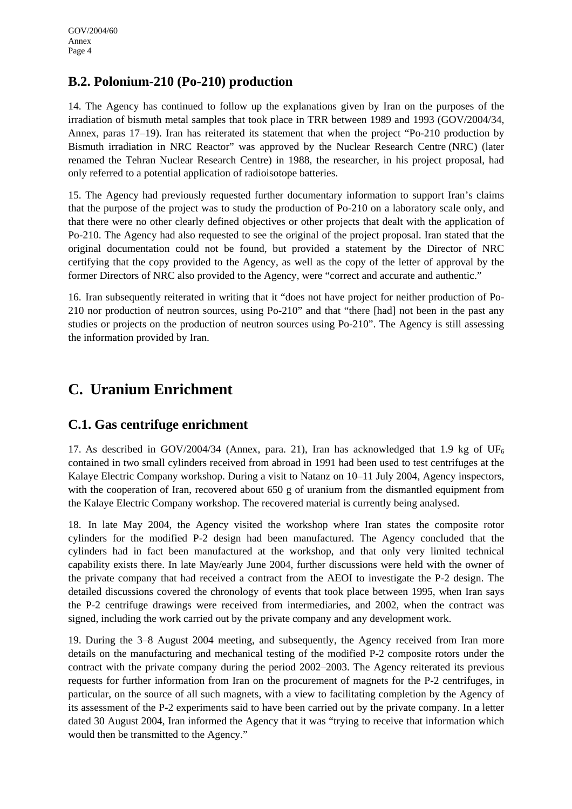## **B.2. Polonium-210 (Po-210) production**

14. The Agency has continued to follow up the explanations given by Iran on the purposes of the irradiation of bismuth metal samples that took place in TRR between 1989 and 1993 (GOV/2004/34, Annex, paras 17–19). Iran has reiterated its statement that when the project "Po-210 production by Bismuth irradiation in NRC Reactor" was approved by the Nuclear Research Centre (NRC) (later renamed the Tehran Nuclear Research Centre) in 1988, the researcher, in his project proposal, had only referred to a potential application of radioisotope batteries.

15. The Agency had previously requested further documentary information to support Iran's claims that the purpose of the project was to study the production of Po-210 on a laboratory scale only, and that there were no other clearly defined objectives or other projects that dealt with the application of Po-210. The Agency had also requested to see the original of the project proposal. Iran stated that the original documentation could not be found, but provided a statement by the Director of NRC certifying that the copy provided to the Agency, as well as the copy of the letter of approval by the former Directors of NRC also provided to the Agency, were "correct and accurate and authentic."

16. Iran subsequently reiterated in writing that it "does not have project for neither production of Po-210 nor production of neutron sources, using Po-210" and that "there [had] not been in the past any studies or projects on the production of neutron sources using Po-210". The Agency is still assessing the information provided by Iran.

# **C. Uranium Enrichment**

## **C.1. Gas centrifuge enrichment**

17. As described in GOV/2004/34 (Annex, para. 21), Iran has acknowledged that 1.9 kg of UF<sub>6</sub> contained in two small cylinders received from abroad in 1991 had been used to test centrifuges at the Kalaye Electric Company workshop. During a visit to Natanz on 10–11 July 2004, Agency inspectors, with the cooperation of Iran, recovered about 650 g of uranium from the dismantled equipment from the Kalaye Electric Company workshop. The recovered material is currently being analysed.

18. In late May 2004, the Agency visited the workshop where Iran states the composite rotor cylinders for the modified P-2 design had been manufactured. The Agency concluded that the cylinders had in fact been manufactured at the workshop, and that only very limited technical capability exists there. In late May/early June 2004, further discussions were held with the owner of the private company that had received a contract from the AEOI to investigate the P-2 design. The detailed discussions covered the chronology of events that took place between 1995, when Iran says the P-2 centrifuge drawings were received from intermediaries, and 2002, when the contract was signed, including the work carried out by the private company and any development work.

19. During the 3–8 August 2004 meeting, and subsequently, the Agency received from Iran more details on the manufacturing and mechanical testing of the modified P-2 composite rotors under the contract with the private company during the period 2002–2003. The Agency reiterated its previous requests for further information from Iran on the procurement of magnets for the P-2 centrifuges, in particular, on the source of all such magnets, with a view to facilitating completion by the Agency of its assessment of the P-2 experiments said to have been carried out by the private company. In a letter dated 30 August 2004, Iran informed the Agency that it was "trying to receive that information which would then be transmitted to the Agency."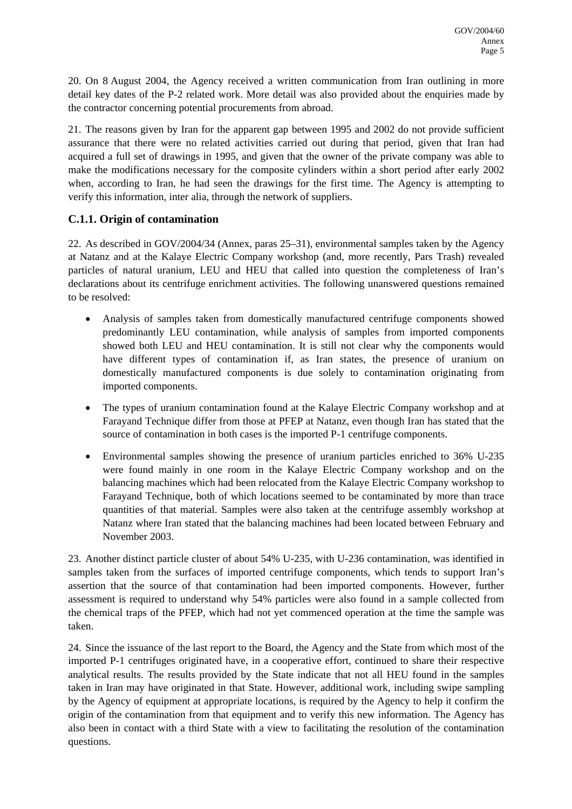20. On 8 August 2004, the Agency received a written communication from Iran outlining in more detail key dates of the P-2 related work. More detail was also provided about the enquiries made by the contractor concerning potential procurements from abroad.

21. The reasons given by Iran for the apparent gap between 1995 and 2002 do not provide sufficient assurance that there were no related activities carried out during that period, given that Iran had acquired a full set of drawings in 1995, and given that the owner of the private company was able to make the modifications necessary for the composite cylinders within a short period after early 2002 when, according to Iran, he had seen the drawings for the first time. The Agency is attempting to verify this information, inter alia, through the network of suppliers.

### **C.1.1. Origin of contamination**

22. As described in GOV/2004/34 (Annex, paras 25–31), environmental samples taken by the Agency at Natanz and at the Kalaye Electric Company workshop (and, more recently, Pars Trash) revealed particles of natural uranium, LEU and HEU that called into question the completeness of Iran's declarations about its centrifuge enrichment activities. The following unanswered questions remained to be resolved:

- Analysis of samples taken from domestically manufactured centrifuge components showed predominantly LEU contamination, while analysis of samples from imported components showed both LEU and HEU contamination. It is still not clear why the components would have different types of contamination if, as Iran states, the presence of uranium on domestically manufactured components is due solely to contamination originating from imported components.
- The types of uranium contamination found at the Kalaye Electric Company workshop and at Farayand Technique differ from those at PFEP at Natanz, even though Iran has stated that the source of contamination in both cases is the imported P-1 centrifuge components.
- Environmental samples showing the presence of uranium particles enriched to 36% U-235 were found mainly in one room in the Kalaye Electric Company workshop and on the balancing machines which had been relocated from the Kalaye Electric Company workshop to Farayand Technique, both of which locations seemed to be contaminated by more than trace quantities of that material. Samples were also taken at the centrifuge assembly workshop at Natanz where Iran stated that the balancing machines had been located between February and November 2003.

23. Another distinct particle cluster of about 54% U-235, with U-236 contamination, was identified in samples taken from the surfaces of imported centrifuge components, which tends to support Iran's assertion that the source of that contamination had been imported components. However, further assessment is required to understand why 54% particles were also found in a sample collected from the chemical traps of the PFEP, which had not yet commenced operation at the time the sample was taken.

24. Since the issuance of the last report to the Board, the Agency and the State from which most of the imported P-1 centrifuges originated have, in a cooperative effort, continued to share their respective analytical results. The results provided by the State indicate that not all HEU found in the samples taken in Iran may have originated in that State. However, additional work, including swipe sampling by the Agency of equipment at appropriate locations, is required by the Agency to help it confirm the origin of the contamination from that equipment and to verify this new information. The Agency has also been in contact with a third State with a view to facilitating the resolution of the contamination questions.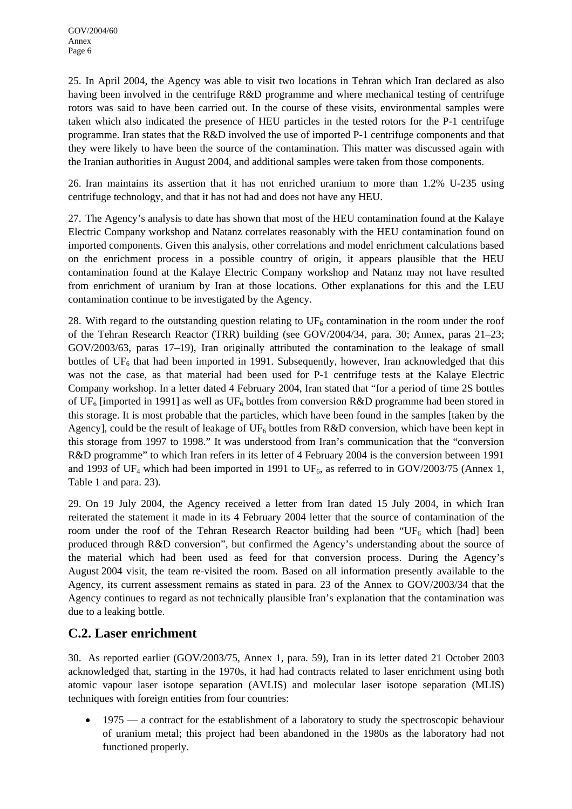25. In April 2004, the Agency was able to visit two locations in Tehran which Iran declared as also having been involved in the centrifuge R&D programme and where mechanical testing of centrifuge rotors was said to have been carried out. In the course of these visits, environmental samples were taken which also indicated the presence of HEU particles in the tested rotors for the P-1 centrifuge programme. Iran states that the R&D involved the use of imported P-1 centrifuge components and that they were likely to have been the source of the contamination. This matter was discussed again with the Iranian authorities in August 2004, and additional samples were taken from those components.

26. Iran maintains its assertion that it has not enriched uranium to more than 1.2% U-235 using centrifuge technology, and that it has not had and does not have any HEU.

27. The Agency's analysis to date has shown that most of the HEU contamination found at the Kalaye Electric Company workshop and Natanz correlates reasonably with the HEU contamination found on imported components. Given this analysis, other correlations and model enrichment calculations based on the enrichment process in a possible country of origin, it appears plausible that the HEU contamination found at the Kalaye Electric Company workshop and Natanz may not have resulted from enrichment of uranium by Iran at those locations. Other explanations for this and the LEU contamination continue to be investigated by the Agency.

28. With regard to the outstanding question relating to  $UF_6$  contamination in the room under the roof of the Tehran Research Reactor (TRR) building (see GOV/2004/34, para. 30; Annex, paras 21–23; GOV/2003/63, paras 17–19), Iran originally attributed the contamination to the leakage of small bottles of  $UF<sub>6</sub>$  that had been imported in 1991. Subsequently, however, Iran acknowledged that this was not the case, as that material had been used for P-1 centrifuge tests at the Kalaye Electric Company workshop. In a letter dated 4 February 2004, Iran stated that "for a period of time 2S bottles of UF<sub>6</sub> [imported in 1991] as well as UF<sub>6</sub> bottles from conversion R&D programme had been stored in this storage. It is most probable that the particles, which have been found in the samples [taken by the Agency], could be the result of leakage of  $UF_6$  bottles from R&D conversion, which have been kept in this storage from 1997 to 1998." It was understood from Iran's communication that the "conversion R&D programme" to which Iran refers in its letter of 4 February 2004 is the conversion between 1991 and 1993 of UF<sub>4</sub> which had been imported in 1991 to UF<sub>6</sub>, as referred to in GOV/2003/75 (Annex 1, Table 1 and para. 23).

29. On 19 July 2004, the Agency received a letter from Iran dated 15 July 2004, in which Iran reiterated the statement it made in its 4 February 2004 letter that the source of contamination of the room under the roof of the Tehran Research Reactor building had been "UF<sub>6</sub> which [had] been produced through R&D conversion", but confirmed the Agency's understanding about the source of the material which had been used as feed for that conversion process. During the Agency's August 2004 visit, the team re-visited the room. Based on all information presently available to the Agency, its current assessment remains as stated in para. 23 of the Annex to GOV/2003/34 that the Agency continues to regard as not technically plausible Iran's explanation that the contamination was due to a leaking bottle.

## **C.2. Laser enrichment**

30. As reported earlier (GOV/2003/75, Annex 1, para. 59), Iran in its letter dated 21 October 2003 acknowledged that, starting in the 1970s, it had had contracts related to laser enrichment using both atomic vapour laser isotope separation (AVLIS) and molecular laser isotope separation (MLIS) techniques with foreign entities from four countries:

1975 — a contract for the establishment of a laboratory to study the spectroscopic behaviour of uranium metal; this project had been abandoned in the 1980s as the laboratory had not functioned properly.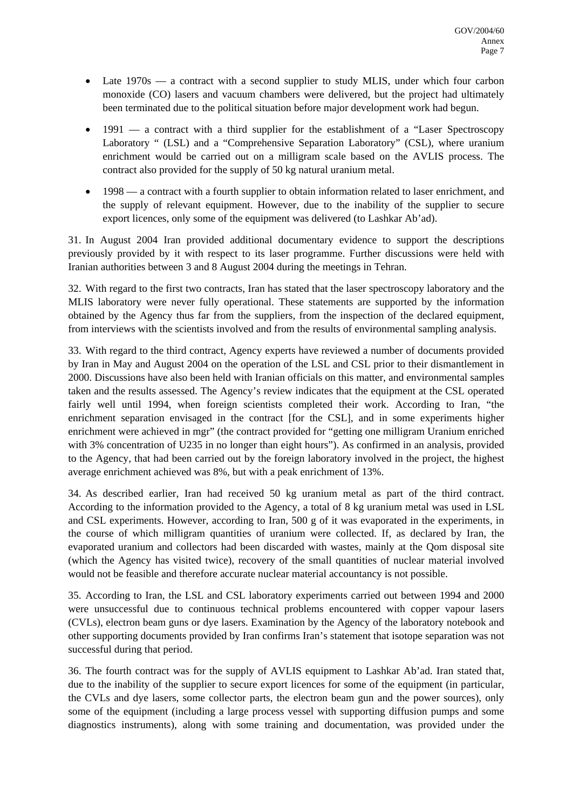- Late  $1970s a$  contract with a second supplier to study MLIS, under which four carbon monoxide (CO) lasers and vacuum chambers were delivered, but the project had ultimately been terminated due to the political situation before major development work had begun.
- 1991 a contract with a third supplier for the establishment of a "Laser Spectroscopy" Laboratory " (LSL) and a "Comprehensive Separation Laboratory" (CSL), where uranium enrichment would be carried out on a milligram scale based on the AVLIS process. The contract also provided for the supply of 50 kg natural uranium metal.
- 1998 a contract with a fourth supplier to obtain information related to laser enrichment, and the supply of relevant equipment. However, due to the inability of the supplier to secure export licences, only some of the equipment was delivered (to Lashkar Ab'ad).

31. In August 2004 Iran provided additional documentary evidence to support the descriptions previously provided by it with respect to its laser programme. Further discussions were held with Iranian authorities between 3 and 8 August 2004 during the meetings in Tehran.

32. With regard to the first two contracts, Iran has stated that the laser spectroscopy laboratory and the MLIS laboratory were never fully operational. These statements are supported by the information obtained by the Agency thus far from the suppliers, from the inspection of the declared equipment, from interviews with the scientists involved and from the results of environmental sampling analysis.

33. With regard to the third contract, Agency experts have reviewed a number of documents provided by Iran in May and August 2004 on the operation of the LSL and CSL prior to their dismantlement in 2000. Discussions have also been held with Iranian officials on this matter, and environmental samples taken and the results assessed. The Agency's review indicates that the equipment at the CSL operated fairly well until 1994, when foreign scientists completed their work. According to Iran, "the enrichment separation envisaged in the contract [for the CSL], and in some experiments higher enrichment were achieved in mgr" (the contract provided for "getting one milligram Uranium enriched with 3% concentration of U235 in no longer than eight hours"). As confirmed in an analysis, provided to the Agency, that had been carried out by the foreign laboratory involved in the project, the highest average enrichment achieved was 8%, but with a peak enrichment of 13%.

34. As described earlier, Iran had received 50 kg uranium metal as part of the third contract. According to the information provided to the Agency, a total of 8 kg uranium metal was used in LSL and CSL experiments. However, according to Iran, 500 g of it was evaporated in the experiments, in the course of which milligram quantities of uranium were collected. If, as declared by Iran, the evaporated uranium and collectors had been discarded with wastes, mainly at the Qom disposal site (which the Agency has visited twice), recovery of the small quantities of nuclear material involved would not be feasible and therefore accurate nuclear material accountancy is not possible.

35. According to Iran, the LSL and CSL laboratory experiments carried out between 1994 and 2000 were unsuccessful due to continuous technical problems encountered with copper vapour lasers (CVLs), electron beam guns or dye lasers. Examination by the Agency of the laboratory notebook and other supporting documents provided by Iran confirms Iran's statement that isotope separation was not successful during that period.

36. The fourth contract was for the supply of AVLIS equipment to Lashkar Ab'ad. Iran stated that, due to the inability of the supplier to secure export licences for some of the equipment (in particular, the CVLs and dye lasers, some collector parts, the electron beam gun and the power sources), only some of the equipment (including a large process vessel with supporting diffusion pumps and some diagnostics instruments), along with some training and documentation, was provided under the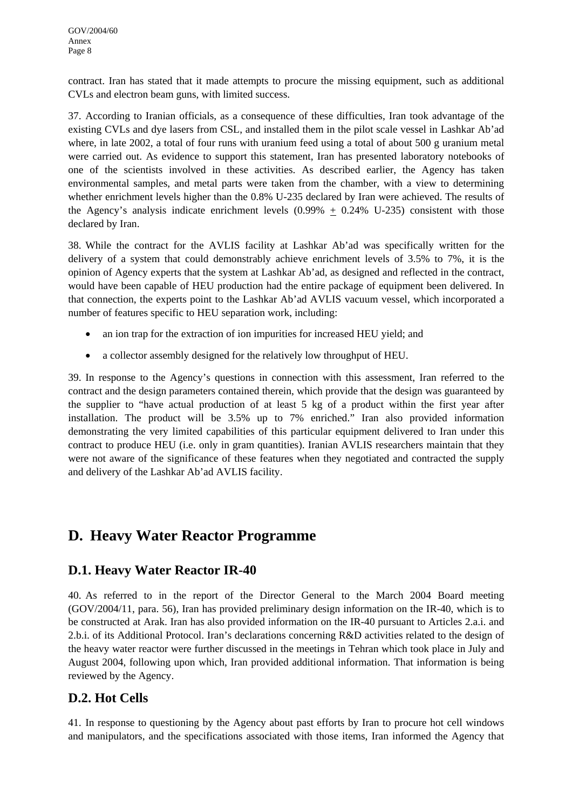contract. Iran has stated that it made attempts to procure the missing equipment, such as additional CVLs and electron beam guns, with limited success.

37. According to Iranian officials, as a consequence of these difficulties, Iran took advantage of the existing CVLs and dye lasers from CSL, and installed them in the pilot scale vessel in Lashkar Ab'ad where, in late 2002, a total of four runs with uranium feed using a total of about 500 g uranium metal were carried out. As evidence to support this statement, Iran has presented laboratory notebooks of one of the scientists involved in these activities. As described earlier, the Agency has taken environmental samples, and metal parts were taken from the chamber, with a view to determining whether enrichment levels higher than the 0.8% U-235 declared by Iran were achieved. The results of the Agency's analysis indicate enrichment levels  $(0.99\% + 0.24\% \text{ U}-235)$  consistent with those declared by Iran.

38. While the contract for the AVLIS facility at Lashkar Ab'ad was specifically written for the delivery of a system that could demonstrably achieve enrichment levels of 3.5% to 7%, it is the opinion of Agency experts that the system at Lashkar Ab'ad, as designed and reflected in the contract, would have been capable of HEU production had the entire package of equipment been delivered. In that connection, the experts point to the Lashkar Ab'ad AVLIS vacuum vessel, which incorporated a number of features specific to HEU separation work, including:

- an ion trap for the extraction of ion impurities for increased HEU yield; and
- a collector assembly designed for the relatively low throughput of HEU.

39. In response to the Agency's questions in connection with this assessment, Iran referred to the contract and the design parameters contained therein, which provide that the design was guaranteed by the supplier to "have actual production of at least 5 kg of a product within the first year after installation. The product will be 3.5% up to 7% enriched." Iran also provided information demonstrating the very limited capabilities of this particular equipment delivered to Iran under this contract to produce HEU (i.e. only in gram quantities). Iranian AVLIS researchers maintain that they were not aware of the significance of these features when they negotiated and contracted the supply and delivery of the Lashkar Ab'ad AVLIS facility.

# **D. Heavy Water Reactor Programme**

## **D.1. Heavy Water Reactor IR-40**

40. As referred to in the report of the Director General to the March 2004 Board meeting (GOV/2004/11, para. 56), Iran has provided preliminary design information on the IR-40, which is to be constructed at Arak. Iran has also provided information on the IR-40 pursuant to Articles 2.a.i. and 2.b.i. of its Additional Protocol. Iran's declarations concerning R&D activities related to the design of the heavy water reactor were further discussed in the meetings in Tehran which took place in July and August 2004, following upon which, Iran provided additional information. That information is being reviewed by the Agency.

## **D.2. Hot Cells**

41. In response to questioning by the Agency about past efforts by Iran to procure hot cell windows and manipulators, and the specifications associated with those items, Iran informed the Agency that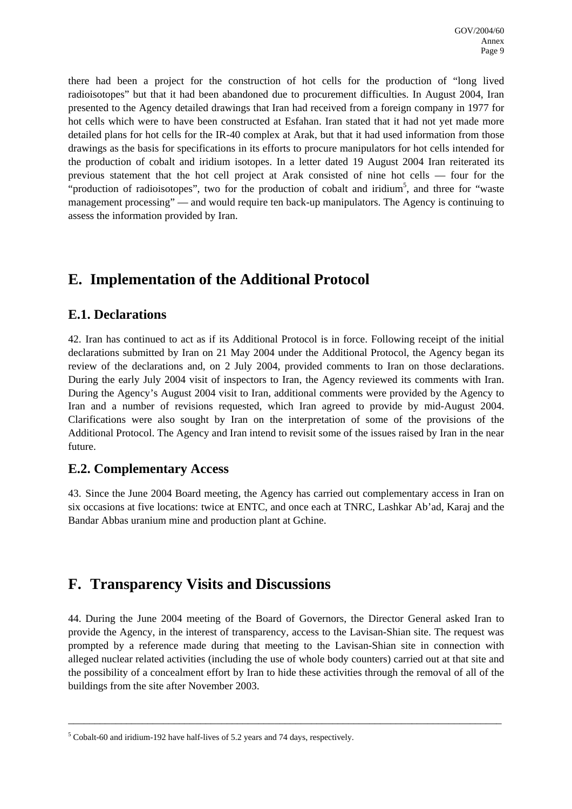there had been a project for the construction of hot cells for the production of "long lived radioisotopes" but that it had been abandoned due to procurement difficulties. In August 2004, Iran presented to the Agency detailed drawings that Iran had received from a foreign company in 1977 for hot cells which were to have been constructed at Esfahan. Iran stated that it had not yet made more detailed plans for hot cells for the IR-40 complex at Arak, but that it had used information from those drawings as the basis for specifications in its efforts to procure manipulators for hot cells intended for the production of cobalt and iridium isotopes. In a letter dated 19 August 2004 Iran reiterated its previous statement that the hot cell project at Arak consisted of nine hot cells — four for the "production of radioisotopes", two for the production of cobalt and iridium<sup>[5](#page-20-0)</sup>, and three for "waste management processing" — and would require ten back-up manipulators. The Agency is continuing to assess the information provided by Iran.

# **E. Implementation of the Additional Protocol**

## **E.1. Declarations**

42. Iran has continued to act as if its Additional Protocol is in force. Following receipt of the initial declarations submitted by Iran on 21 May 2004 under the Additional Protocol, the Agency began its review of the declarations and, on 2 July 2004, provided comments to Iran on those declarations. During the early July 2004 visit of inspectors to Iran, the Agency reviewed its comments with Iran. During the Agency's August 2004 visit to Iran, additional comments were provided by the Agency to Iran and a number of revisions requested, which Iran agreed to provide by mid-August 2004. Clarifications were also sought by Iran on the interpretation of some of the provisions of the Additional Protocol. The Agency and Iran intend to revisit some of the issues raised by Iran in the near future.

### **E.2. Complementary Access**

43. Since the June 2004 Board meeting, the Agency has carried out complementary access in Iran on six occasions at five locations: twice at ENTC, and once each at TNRC, Lashkar Ab'ad, Karaj and the Bandar Abbas uranium mine and production plant at Gchine.

## **F. Transparency Visits and Discussions**

44. During the June 2004 meeting of the Board of Governors, the Director General asked Iran to provide the Agency, in the interest of transparency, access to the Lavisan-Shian site. The request was prompted by a reference made during that meeting to the Lavisan-Shian site in connection with alleged nuclear related activities (including the use of whole body counters) carried out at that site and the possibility of a concealment effort by Iran to hide these activities through the removal of all of the buildings from the site after November 2003.

\_\_\_\_\_\_\_\_\_\_\_\_\_\_\_\_\_\_\_\_\_\_\_\_\_\_\_\_\_\_\_\_\_\_\_\_\_\_\_\_\_\_\_\_\_\_\_\_\_\_\_\_\_\_\_\_\_\_\_\_\_\_\_\_\_\_\_\_\_\_\_\_\_\_\_\_\_\_\_\_\_\_

<span id="page-20-0"></span> $<sup>5</sup>$  Cobalt-60 and iridium-192 have half-lives of 5.2 years and 74 days, respectively.</sup>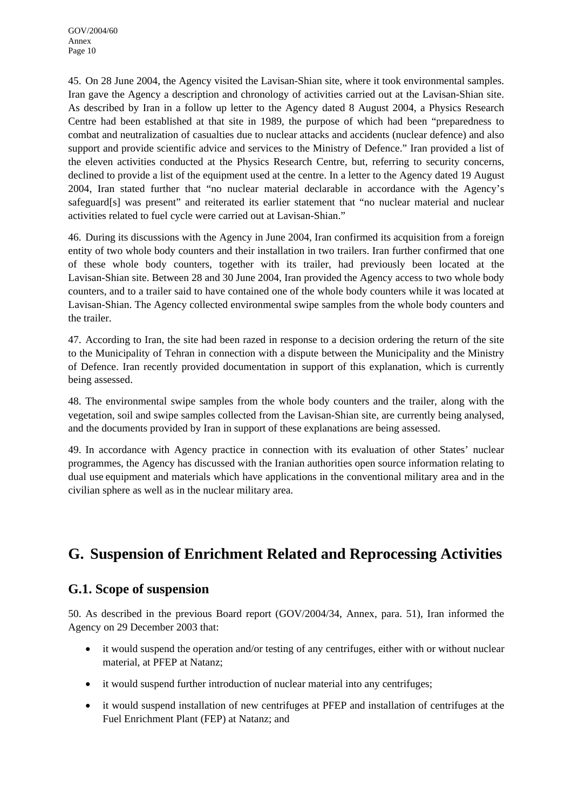45. On 28 June 2004, the Agency visited the Lavisan-Shian site, where it took environmental samples. Iran gave the Agency a description and chronology of activities carried out at the Lavisan-Shian site. As described by Iran in a follow up letter to the Agency dated 8 August 2004, a Physics Research Centre had been established at that site in 1989, the purpose of which had been "preparedness to combat and neutralization of casualties due to nuclear attacks and accidents (nuclear defence) and also support and provide scientific advice and services to the Ministry of Defence." Iran provided a list of the eleven activities conducted at the Physics Research Centre, but, referring to security concerns, declined to provide a list of the equipment used at the centre. In a letter to the Agency dated 19 August 2004, Iran stated further that "no nuclear material declarable in accordance with the Agency's safeguard[s] was present" and reiterated its earlier statement that "no nuclear material and nuclear activities related to fuel cycle were carried out at Lavisan-Shian."

46. During its discussions with the Agency in June 2004, Iran confirmed its acquisition from a foreign entity of two whole body counters and their installation in two trailers. Iran further confirmed that one of these whole body counters, together with its trailer, had previously been located at the Lavisan-Shian site. Between 28 and 30 June 2004, Iran provided the Agency access to two whole body counters, and to a trailer said to have contained one of the whole body counters while it was located at Lavisan-Shian. The Agency collected environmental swipe samples from the whole body counters and the trailer.

47. According to Iran, the site had been razed in response to a decision ordering the return of the site to the Municipality of Tehran in connection with a dispute between the Municipality and the Ministry of Defence. Iran recently provided documentation in support of this explanation, which is currently being assessed.

48. The environmental swipe samples from the whole body counters and the trailer, along with the vegetation, soil and swipe samples collected from the Lavisan-Shian site, are currently being analysed, and the documents provided by Iran in support of these explanations are being assessed.

49. In accordance with Agency practice in connection with its evaluation of other States' nuclear programmes, the Agency has discussed with the Iranian authorities open source information relating to dual use equipment and materials which have applications in the conventional military area and in the civilian sphere as well as in the nuclear military area.

# **G. Suspension of Enrichment Related and Reprocessing Activities**

## **G.1. Scope of suspension**

50. As described in the previous Board report (GOV/2004/34, Annex, para. 51), Iran informed the Agency on 29 December 2003 that:

- it would suspend the operation and/or testing of any centrifuges, either with or without nuclear material, at PFEP at Natanz;
- it would suspend further introduction of nuclear material into any centrifuges;
- it would suspend installation of new centrifuges at PFEP and installation of centrifuges at the Fuel Enrichment Plant (FEP) at Natanz; and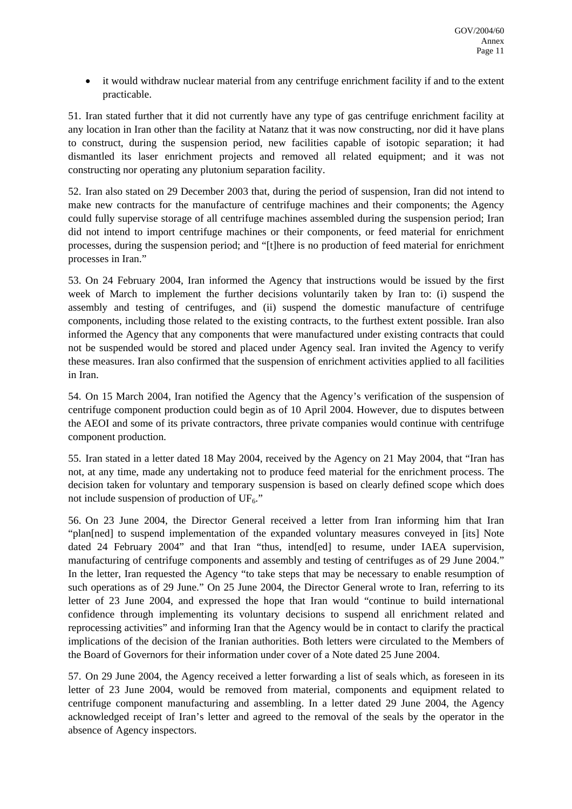• it would withdraw nuclear material from any centrifuge enrichment facility if and to the extent practicable.

51. Iran stated further that it did not currently have any type of gas centrifuge enrichment facility at any location in Iran other than the facility at Natanz that it was now constructing, nor did it have plans to construct, during the suspension period, new facilities capable of isotopic separation; it had dismantled its laser enrichment projects and removed all related equipment; and it was not constructing nor operating any plutonium separation facility.

52. Iran also stated on 29 December 2003 that, during the period of suspension, Iran did not intend to make new contracts for the manufacture of centrifuge machines and their components; the Agency could fully supervise storage of all centrifuge machines assembled during the suspension period; Iran did not intend to import centrifuge machines or their components, or feed material for enrichment processes, during the suspension period; and "[t]here is no production of feed material for enrichment processes in Iran."

53. On 24 February 2004, Iran informed the Agency that instructions would be issued by the first week of March to implement the further decisions voluntarily taken by Iran to: (i) suspend the assembly and testing of centrifuges, and (ii) suspend the domestic manufacture of centrifuge components, including those related to the existing contracts, to the furthest extent possible. Iran also informed the Agency that any components that were manufactured under existing contracts that could not be suspended would be stored and placed under Agency seal. Iran invited the Agency to verify these measures. Iran also confirmed that the suspension of enrichment activities applied to all facilities in Iran.

54. On 15 March 2004, Iran notified the Agency that the Agency's verification of the suspension of centrifuge component production could begin as of 10 April 2004. However, due to disputes between the AEOI and some of its private contractors, three private companies would continue with centrifuge component production.

55. Iran stated in a letter dated 18 May 2004, received by the Agency on 21 May 2004, that "Iran has not, at any time, made any undertaking not to produce feed material for the enrichment process. The decision taken for voluntary and temporary suspension is based on clearly defined scope which does not include suspension of production of  $UF_6$ ."

56. On 23 June 2004, the Director General received a letter from Iran informing him that Iran "plan[ned] to suspend implementation of the expanded voluntary measures conveyed in [its] Note dated 24 February 2004" and that Iran "thus, intend[ed] to resume, under IAEA supervision, manufacturing of centrifuge components and assembly and testing of centrifuges as of 29 June 2004." In the letter, Iran requested the Agency "to take steps that may be necessary to enable resumption of such operations as of 29 June." On 25 June 2004, the Director General wrote to Iran, referring to its letter of 23 June 2004, and expressed the hope that Iran would "continue to build international confidence through implementing its voluntary decisions to suspend all enrichment related and reprocessing activities" and informing Iran that the Agency would be in contact to clarify the practical implications of the decision of the Iranian authorities. Both letters were circulated to the Members of the Board of Governors for their information under cover of a Note dated 25 June 2004.

57. On 29 June 2004, the Agency received a letter forwarding a list of seals which, as foreseen in its letter of 23 June 2004, would be removed from material, components and equipment related to centrifuge component manufacturing and assembling. In a letter dated 29 June 2004, the Agency acknowledged receipt of Iran's letter and agreed to the removal of the seals by the operator in the absence of Agency inspectors.